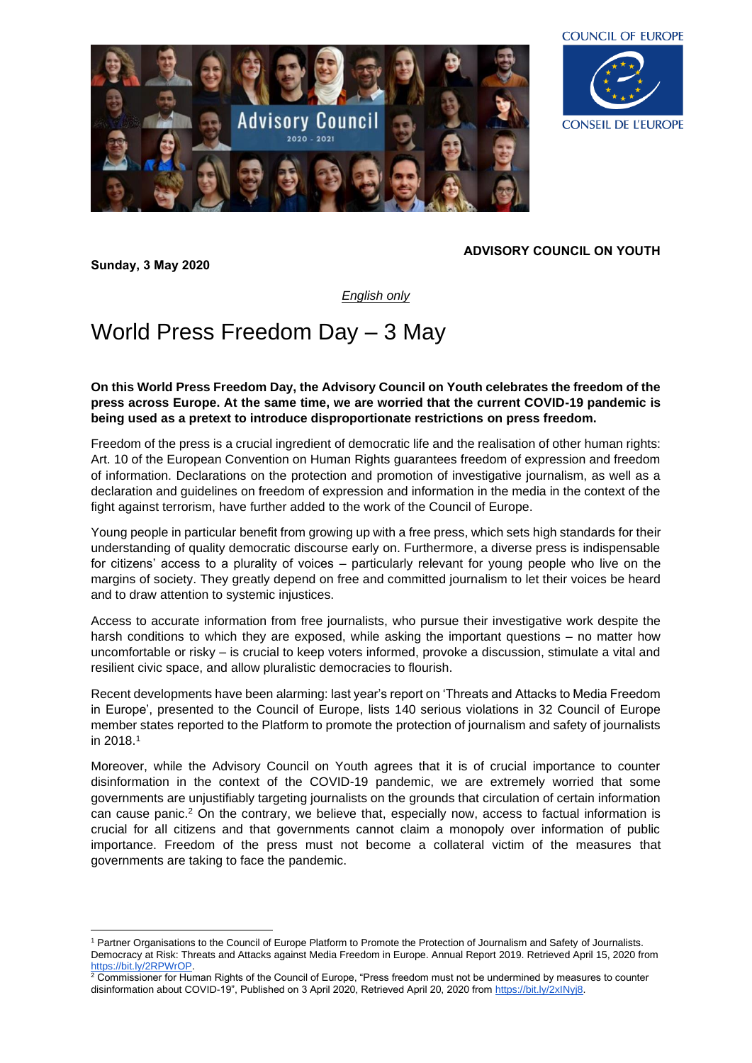



## **ADVISORY COUNCIL ON YOUTH**

*English only*

## World Press Freedom Day – 3 May

**Sunday, 3 May 2020**

**On this World Press Freedom Day, the Advisory Council on Youth celebrates the freedom of the press across Europe. At the same time, we are worried that the current COVID-19 pandemic is being used as a pretext to introduce disproportionate restrictions on press freedom.** 

Freedom of the press is a crucial ingredient of democratic life and the realisation of other human rights: Art. 10 of the European Convention on Human Rights guarantees freedom of expression and freedom of information. Declarations on the protection and promotion of investigative journalism, as well as a declaration and guidelines on freedom of expression and information in the media in the context of the fight against terrorism, have further added to the work of the Council of Europe.

Young people in particular benefit from growing up with a free press, which sets high standards for their understanding of quality democratic discourse early on. Furthermore, a diverse press is indispensable for citizens' access to a plurality of voices – particularly relevant for young people who live on the margins of society. They greatly depend on free and committed journalism to let their voices be heard and to draw attention to systemic injustices.

Access to accurate information from free journalists, who pursue their investigative work despite the harsh conditions to which they are exposed, while asking the important questions – no matter how uncomfortable or risky – is crucial to keep voters informed, provoke a discussion, stimulate a vital and resilient civic space, and allow pluralistic democracies to flourish.

Recent developments have been alarming: last year's report on 'Threats and Attacks to Media Freedom in Europe', presented to the Council of Europe, lists 140 serious violations in 32 Council of Europe member states reported to the Platform to promote the protection of journalism and safety of journalists in 2018.<sup>1</sup>

Moreover, while the Advisory Council on Youth agrees that it is of crucial importance to counter disinformation in the context of the COVID-19 pandemic, we are extremely worried that some governments are unjustifiably targeting journalists on the grounds that circulation of certain information can cause panic. <sup>2</sup> On the contrary, we believe that, especially now, access to factual information is crucial for all citizens and that governments cannot claim a monopoly over information of public importance. Freedom of the press must not become a collateral victim of the measures that governments are taking to face the pandemic.

<sup>1</sup> Partner Organisations to the Council of Europe Platform to Promote the Protection of Journalism and Safety of Journalists. Democracy at Risk: Threats and Attacks against Media Freedom in Europe. Annual Report 2019. Retrieved April 15, 2020 from [https://bit.ly/2RPWrOP.](https://bit.ly/2RPWrOP)

 $^2$  Commissioner for Human Rights of the Council of Europe, "Press freedom must not be undermined by measures to counter disinformation about COVID-19", Published on 3 April 2020, Retrieved April 20, 2020 from [https://bit.ly/2xINyj8.](https://bit.ly/2xINyj8)